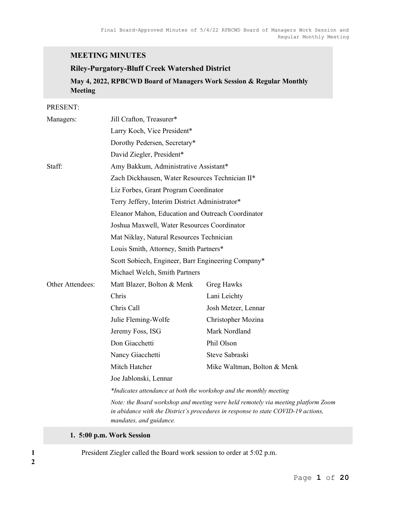# MEETING MINUTES

## Riley-Purgatory-Bluff Creek Watershed District

May 4, 2022, RPBCWD Board of Managers Work Session & Regular Monthly Meeting

#### PRESENT:

| Managers:        | Jill Crafton, Treasurer*                                                                                                                                                                          |                             |  |
|------------------|---------------------------------------------------------------------------------------------------------------------------------------------------------------------------------------------------|-----------------------------|--|
|                  | Larry Koch, Vice President*                                                                                                                                                                       |                             |  |
|                  | Dorothy Pedersen, Secretary*                                                                                                                                                                      |                             |  |
|                  | David Ziegler, President*                                                                                                                                                                         |                             |  |
| Staff:           | Amy Bakkum, Administrative Assistant*                                                                                                                                                             |                             |  |
|                  | Zach Dickhausen, Water Resources Technician II*                                                                                                                                                   |                             |  |
|                  | Liz Forbes, Grant Program Coordinator                                                                                                                                                             |                             |  |
|                  | Terry Jeffery, Interim District Administrator*                                                                                                                                                    |                             |  |
|                  | Eleanor Mahon, Education and Outreach Coordinator                                                                                                                                                 |                             |  |
|                  | Joshua Maxwell, Water Resources Coordinator                                                                                                                                                       |                             |  |
|                  | Mat Niklay, Natural Resources Technician                                                                                                                                                          |                             |  |
|                  | Louis Smith, Attorney, Smith Partners*                                                                                                                                                            |                             |  |
|                  | Scott Sobiech, Engineer, Barr Engineering Company*                                                                                                                                                |                             |  |
|                  | Michael Welch, Smith Partners                                                                                                                                                                     |                             |  |
| Other Attendees: | Matt Blazer, Bolton & Menk                                                                                                                                                                        | Greg Hawks                  |  |
|                  | Chris                                                                                                                                                                                             | Lani Leichty                |  |
|                  | Chris Call                                                                                                                                                                                        | Josh Metzer, Lennar         |  |
|                  | Julie Fleming-Wolfe                                                                                                                                                                               | Christopher Mozina          |  |
|                  | Jeremy Foss, ISG                                                                                                                                                                                  | Mark Nordland               |  |
|                  | Don Giacchetti                                                                                                                                                                                    | Phil Olson                  |  |
|                  | Nancy Giacchetti                                                                                                                                                                                  | Steve Sabraski              |  |
|                  | Mitch Hatcher                                                                                                                                                                                     | Mike Waltman, Bolton & Menk |  |
|                  | Joe Jablonski, Lennar                                                                                                                                                                             |                             |  |
|                  | *Indicates attendance at both the workshop and the monthly meeting                                                                                                                                |                             |  |
|                  | Note: the Board workshop and meeting were held remotely via meeting platform Zoom<br>in abidance with the District's procedures in response to state COVID-19 actions,<br>mandates, and guidance. |                             |  |

#### 1. 5:00 p.m. Work Session

1 President Ziegler called the Board work session to order at 5:02 p.m.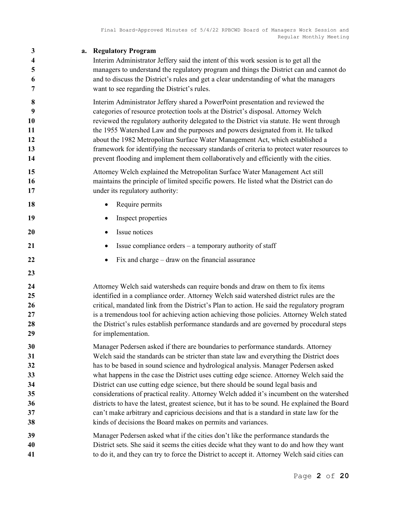| 3<br>4<br>5<br>6<br>7                              | <b>Regulatory Program</b><br>a.<br>Interim Administrator Jeffery said the intent of this work session is to get all the<br>managers to understand the regulatory program and things the District can and cannot do<br>and to discuss the District's rules and get a clear understanding of what the managers<br>want to see regarding the District's rules.                                                                                                                                                                                                                                                                                                                                                                                                                                                     |
|----------------------------------------------------|-----------------------------------------------------------------------------------------------------------------------------------------------------------------------------------------------------------------------------------------------------------------------------------------------------------------------------------------------------------------------------------------------------------------------------------------------------------------------------------------------------------------------------------------------------------------------------------------------------------------------------------------------------------------------------------------------------------------------------------------------------------------------------------------------------------------|
| 8<br>9<br>10<br>11<br>12<br>13<br>14               | Interim Administrator Jeffery shared a PowerPoint presentation and reviewed the<br>categories of resource protection tools at the District's disposal. Attorney Welch<br>reviewed the regulatory authority delegated to the District via statute. He went through<br>the 1955 Watershed Law and the purposes and powers designated from it. He talked<br>about the 1982 Metropolitan Surface Water Management Act, which established a<br>framework for identifying the necessary standards of criteria to protect water resources to<br>prevent flooding and implement them collaboratively and efficiently with the cities.                                                                                                                                                                                   |
| 15<br>16<br>17                                     | Attorney Welch explained the Metropolitan Surface Water Management Act still<br>maintains the principle of limited specific powers. He listed what the District can do<br>under its regulatory authority:                                                                                                                                                                                                                                                                                                                                                                                                                                                                                                                                                                                                       |
| 18                                                 | Require permits                                                                                                                                                                                                                                                                                                                                                                                                                                                                                                                                                                                                                                                                                                                                                                                                 |
| 19                                                 | Inspect properties                                                                                                                                                                                                                                                                                                                                                                                                                                                                                                                                                                                                                                                                                                                                                                                              |
| 20                                                 | Issue notices<br>٠                                                                                                                                                                                                                                                                                                                                                                                                                                                                                                                                                                                                                                                                                                                                                                                              |
| 21                                                 | Issue compliance orders - a temporary authority of staff                                                                                                                                                                                                                                                                                                                                                                                                                                                                                                                                                                                                                                                                                                                                                        |
| 22                                                 | Fix and charge $-$ draw on the financial assurance                                                                                                                                                                                                                                                                                                                                                                                                                                                                                                                                                                                                                                                                                                                                                              |
| 23                                                 |                                                                                                                                                                                                                                                                                                                                                                                                                                                                                                                                                                                                                                                                                                                                                                                                                 |
| 24<br>25<br>26<br>27<br>28<br>29                   | Attorney Welch said watersheds can require bonds and draw on them to fix items<br>identified in a compliance order. Attorney Welch said watershed district rules are the<br>critical, mandated link from the District's Plan to action. He said the regulatory program<br>is a tremendous tool for achieving action achieving those policies. Attorney Welch stated<br>the District's rules establish performance standards and are governed by procedural steps<br>for implementation.                                                                                                                                                                                                                                                                                                                         |
| 30<br>31<br>32<br>33<br>34<br>35<br>36<br>37<br>38 | Manager Pedersen asked if there are boundaries to performance standards. Attorney<br>Welch said the standards can be stricter than state law and everything the District does<br>has to be based in sound science and hydrological analysis. Manager Pedersen asked<br>what happens in the case the District uses cutting edge science. Attorney Welch said the<br>District can use cutting edge science, but there should be sound legal basis and<br>considerations of practical reality. Attorney Welch added it's incumbent on the watershed<br>districts to have the latest, greatest science, but it has to be sound. He explained the Board<br>can't make arbitrary and capricious decisions and that is a standard in state law for the<br>kinds of decisions the Board makes on permits and variances. |
| 39<br>40<br>41                                     | Manager Pedersen asked what if the cities don't like the performance standards the<br>District sets. She said it seems the cities decide what they want to do and how they want<br>to do it, and they can try to force the District to accept it. Attorney Welch said cities can                                                                                                                                                                                                                                                                                                                                                                                                                                                                                                                                |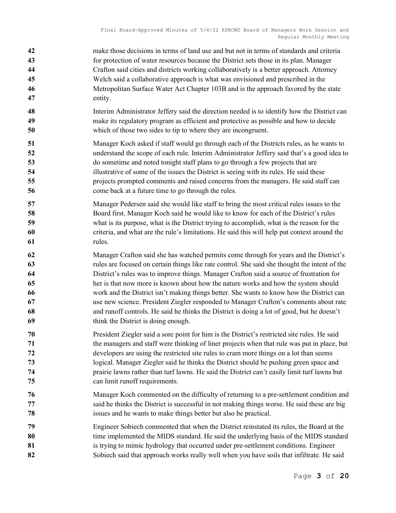- make those decisions in terms of land use and but not in terms of standards and criteria for protection of water resources because the District sets those in its plan. Manager Crafton said cities and districts working collaboratively is a better approach. Attorney Welch said a collaborative approach is what was envisioned and prescribed in the Metropolitan Surface Water Act Chapter 103B and is the approach favored by the state entity.
- Interim Administrator Jeffery said the direction needed is to identify how the District can make its regulatory program as efficient and protective as possible and how to decide which of those two sides to tip to where they are incongruent.
- Manager Koch asked if staff would go through each of the Districts rules, as he wants to understand the scope of each rule. Interim Administrator Jeffery said that's a good idea to do sometime and noted tonight staff plans to go through a few projects that are 54 illustrative of some of the issues the District is seeing with its rules. He said these projects prompted comments and raised concerns from the managers. He said staff can 56 come back at a future time to go through the rules.
- Manager Pedersen said she would like staff to bring the most critical rules issues to the 58 Board first. Manager Koch said he would like to know for each of the District's rules what is its purpose, what is the District trying to accomplish, what is the reason for the criteria, and what are the rule's limitations. He said this will help put context around the rules.
- Manager Crafton said she has watched permits come through for years and the District's rules are focused on certain things like rate control. She said she thought the intent of the District's rules was to improve things. Manager Crafton said a source of frustration for her is that now more is known about how the nature works and how the system should work and the District isn't making things better. She wants to know how the District can use new science. President Ziegler responded to Manager Crafton's comments about rate and runoff controls. He said he thinks the District is doing a lot of good, but he doesn't think the District is doing enough.
- President Ziegler said a sore point for him is the District's restricted site rules. He said the managers and staff were thinking of liner projects when that rule was put in place, but developers are using the restricted site rules to cram more things on a lot than seems logical. Manager Ziegler said he thinks the District should be pushing green space and prairie lawns rather than turf lawns. He said the District can't easily limit turf lawns but can limit runoff requirements.
- Manager Koch commented on the difficulty of returning to a pre-settlement condition and said he thinks the District is successful in not making things worse. He said these are big issues and he wants to make things better but also be practical.
- Engineer Sobiech commented that when the District reinstated its rules, the Board at the 80 time implemented the MIDS standard. He said the underlying basis of the MIDS standard 81 is trying to mimic hydrology that occurred under pre-settlement conditions. Engineer 82 Sobiech said that approach works really well when you have soils that infiltrate. He said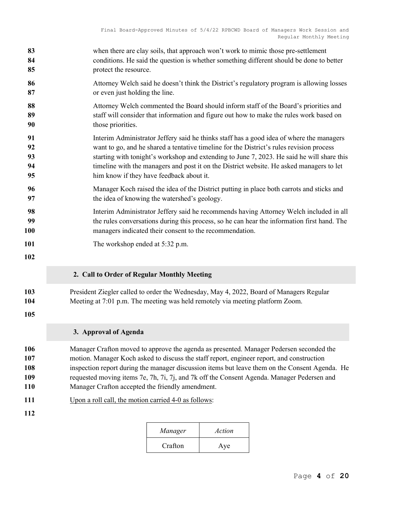| 83                | when there are clay soils, that approach won't work to mimic those pre-settlement                                                                                        |
|-------------------|--------------------------------------------------------------------------------------------------------------------------------------------------------------------------|
| 84                | conditions. He said the question is whether something different should be done to better                                                                                 |
| 85                | protect the resource.                                                                                                                                                    |
| 86                | Attorney Welch said he doesn't think the District's regulatory program is allowing losses                                                                                |
| 87                | or even just holding the line.                                                                                                                                           |
| 88                | Attorney Welch commented the Board should inform staff of the Board's priorities and                                                                                     |
| 89                | staff will consider that information and figure out how to make the rules work based on                                                                                  |
| 90                | those priorities.                                                                                                                                                        |
| 91                | Interim Administrator Jeffery said he thinks staff has a good idea of where the managers                                                                                 |
| 92                | want to go, and he shared a tentative timeline for the District's rules revision process                                                                                 |
| 93                | starting with tonight's workshop and extending to June 7, 2023. He said he will share this                                                                               |
| 94                | timeline with the managers and post it on the District website. He asked managers to let                                                                                 |
| 95                | him know if they have feedback about it.                                                                                                                                 |
| 96                | Manager Koch raised the idea of the District putting in place both carrots and sticks and                                                                                |
| 97                | the idea of knowing the watershed's geology.                                                                                                                             |
| 98                | Interim Administrator Jeffery said he recommends having Attorney Welch included in all                                                                                   |
| 99                | the rules conversations during this process, so he can hear the information first hand. The                                                                              |
| 100               | managers indicated their consent to the recommendation.                                                                                                                  |
| 101<br>102        | The workshop ended at 5:32 p.m.                                                                                                                                          |
|                   | 2. Call to Order of Regular Monthly Meeting                                                                                                                              |
| 103<br>104<br>105 | President Ziegler called to order the Wednesday, May 4, 2022, Board of Managers Regular<br>Meeting at 7:01 p.m. The meeting was held remotely via meeting platform Zoom. |
|                   | 3. Approval of Agenda                                                                                                                                                    |
| 106               | Manager Crafton moved to approve the agenda as presented. Manager Pedersen seconded the                                                                                  |
| 107               | motion. Manager Koch asked to discuss the staff report, engineer report, and construction                                                                                |
| 108               | inspection report during the manager discussion items but leave them on the Consent Agenda. He                                                                           |
| 109               | requested moving items 7e, 7h, 7i, 7j, and 7k off the Consent Agenda. Manager Pedersen and                                                                               |
| 110               | Manager Crafton accepted the friendly amendment.                                                                                                                         |
| 111               | Upon a roll call, the motion carried 4-0 as follows:                                                                                                                     |
| 112               |                                                                                                                                                                          |

| Manager | Action |
|---------|--------|
| Crafton | Aye    |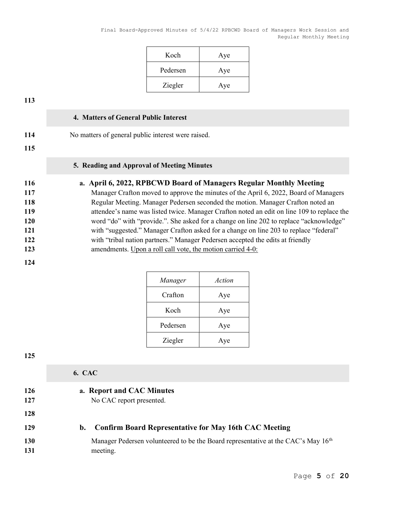| Koch     | Aye |
|----------|-----|
| Pedersen | Aye |
| Ziegler  | Aye |

#### 4. Matters of General Public Interest

| 114 | No matters of general public interest were raised. |  |
|-----|----------------------------------------------------|--|
| 115 |                                                    |  |

## 5. Reading and Approval of Meeting Minutes

# 116 a. April 6, 2022, RPBCWD Board of Managers Regular Monthly Meeting

| 117 | Manager Crafton moved to approve the minutes of the April 6, 2022, Board of Managers       |
|-----|--------------------------------------------------------------------------------------------|
| 118 | Regular Meeting. Manager Pedersen seconded the motion. Manager Crafton noted an            |
| 119 | attendee's name was listed twice. Manager Crafton noted an edit on line 109 to replace the |
| 120 | word "do" with "provide.". She asked for a change on line 202 to replace "acknowledge"     |
| 121 | with "suggested." Manager Crafton asked for a change on line 203 to replace "federal"      |
| 122 | with "tribal nation partners." Manager Pedersen accepted the edits at friendly             |
| 123 | amendments. Upon a roll call vote, the motion carried 4-0:                                 |

#### 124

| Manager  | Action |
|----------|--------|
| Crafton  | Aye    |
| Koch     | Aye    |
| Pedersen | Aye    |
| Ziegler  | Aye    |

125

# 6. CAC 126 a. Report and CAC Minutes 127 No CAC report presented. 128 129 b. Confirm Board Representative for May 16th CAC Meeting 130 Manager Pedersen volunteered to be the Board representative at the CAC's May 16<sup>th</sup> 131 meeting.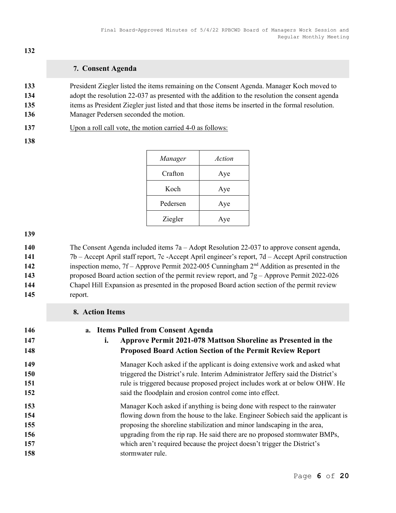## 7. Consent Agenda

President Ziegler listed the items remaining on the Consent Agenda. Manager Koch moved to 134 adopt the resolution 22-037 as presented with the addition to the resolution the consent agenda items as President Ziegler just listed and that those items be inserted in the formal resolution. 136 Manager Pedersen seconded the motion.

Upon a roll call vote, the motion carried 4-0 as follows:

| Manager  | Action |
|----------|--------|
| Crafton  | Aye    |
| Koch     | Aye    |
| Pedersen | Aye    |
| Ziegler  | Aye    |

The Consent Agenda included items 7a – Adopt Resolution 22-037 to approve consent agenda, 7b – Accept April staff report, 7c -Accept April engineer's report, 7d – Accept April construction 142 inspection memo, 7f – Approve Permit 2022-005 Cunningham 2<sup>nd</sup> Addition as presented in the proposed Board action section of the permit review report, and 7g – Approve Permit 2022-026 Chapel Hill Expansion as presented in the proposed Board action section of the permit review report.

|                   | 8. Action Items                                                                                                                                                         |  |
|-------------------|-------------------------------------------------------------------------------------------------------------------------------------------------------------------------|--|
| 146<br>147<br>148 | a. Items Pulled from Consent Agenda<br>Approve Permit 2021-078 Mattson Shoreline as Presented in the<br>i.<br>Proposed Board Action Section of the Permit Review Report |  |
| 149               | Manager Koch asked if the applicant is doing extensive work and asked what                                                                                              |  |
| 150               | triggered the District's rule. Interim Administrator Jeffery said the District's                                                                                        |  |
| 151               | rule is triggered because proposed project includes work at or below OHW. He                                                                                            |  |
| 152               | said the floodplain and erosion control come into effect.                                                                                                               |  |
| 153               | Manager Koch asked if anything is being done with respect to the rainwater                                                                                              |  |
| 154               | flowing down from the house to the lake. Engineer Sobiech said the applicant is                                                                                         |  |
| 155               | proposing the shoreline stabilization and minor landscaping in the area,                                                                                                |  |
| 156               | upgrading from the rip rap. He said there are no proposed stormwater BMPs,                                                                                              |  |
| 157               | which aren't required because the project doesn't trigger the District's                                                                                                |  |
| 158               | stormwater rule.                                                                                                                                                        |  |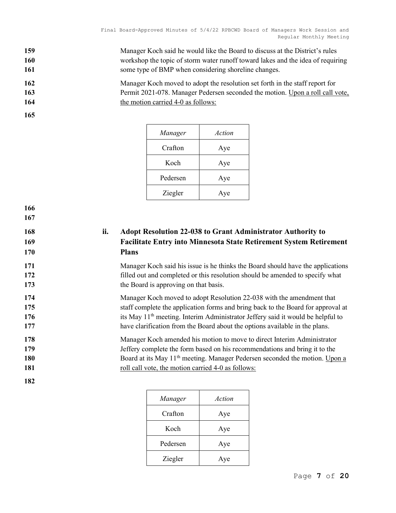159 Manager Koch said he would like the Board to discuss at the District's rules 160 workshop the topic of storm water runoff toward lakes and the idea of requiring 161 some type of BMP when considering shoreline changes.

162 Manager Koch moved to adopt the resolution set forth in the staff report for 163 Permit 2021-078. Manager Pedersen seconded the motion. Upon a roll call vote, 164 the motion carried 4-0 as follows:

166 167

| Manager  | Action |
|----------|--------|
| Crafton  | Aye    |
| Koch     | Aye    |
| Pedersen | Aye    |
| Ziegler  | Aye    |

168 ii. Adopt Resolution 22-038 to Grant Administrator Authority to 169 Facilitate Entry into Minnesota State Retirement System Retirement 170 Plans

171 Manager Koch said his issue is he thinks the Board should have the applications 172 filled out and completed or this resolution should be amended to specify what 173 the Board is approving on that basis.

174 Manager Koch moved to adopt Resolution 22-038 with the amendment that 175 staff complete the application forms and bring back to the Board for approval at 176 its May 11<sup>th</sup> meeting. Interim Administrator Jeffery said it would be helpful to 177 have clarification from the Board about the options available in the plans.

178 Manager Koch amended his motion to move to direct Interim Administrator 179 Jeffery complete the form based on his recommendations and bring it to the 180 Board at its May 11<sup>th</sup> meeting. Manager Pedersen seconded the motion. Upon a 181 roll call vote, the motion carried 4-0 as follows:

| Manager  | Action |
|----------|--------|
| Crafton  | Aye    |
| Koch     | Aye    |
| Pedersen | Aye    |
| Ziegler  | Aye    |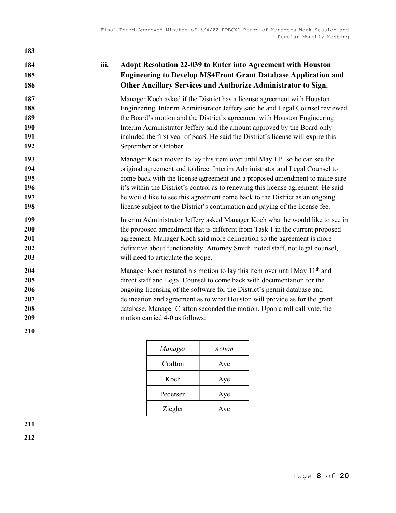# 184 iii. Adopt Resolution 22-039 to Enter into Agreement with Houston 185 Engineering to Develop MS4Front Grant Database Application and 186 Other Ancillary Services and Authorize Administrator to Sign.

Manager Koch asked if the District has a license agreement with Houston Engineering. Interim Administrator Jeffery said he and Legal Counsel reviewed 189 the Board's motion and the District's agreement with Houston Engineering. Interim Administrator Jeffery said the amount approved by the Board only included the first year of SaaS. He said the District's license will expire this September or October.

- 193 Manager Koch moved to lay this item over until May  $11<sup>th</sup>$  so he can see the 194 original agreement and to direct Interim Administrator and Legal Counsel to 195 come back with the license agreement and a proposed amendment to make sure 196 it's within the District's control as to renewing this license agreement. He said 197 he would like to see this agreement come back to the District as an ongoing 198 license subject to the District's continuation and paying of the license fee.
- 199 Interim Administrator Jeffery asked Manager Koch what he would like to see in 200 the proposed amendment that is different from Task 1 in the current proposed 201 agreement. Manager Koch said more delineation so the agreement is more 202 definitive about functionality. Attorney Smith noted staff, not legal counsel, 203 will need to articulate the scope.

# 204 Manager Koch restated his motion to lay this item over until May  $11<sup>th</sup>$  and 205 direct staff and Legal Counsel to come back with documentation for the 206 **206** ongoing licensing of the software for the District's permit database and 207 delineation and agreement as to what Houston will provide as for the grant 208 database. Manager Crafton seconded the motion. Upon a roll call vote, the 209 motion carried 4-0 as follows:

| Manager  | Action |
|----------|--------|
| Crafton  | Aye    |
| Koch     | Aye    |
| Pedersen | Aye    |
| Ziegler  | Aye    |

211

210

183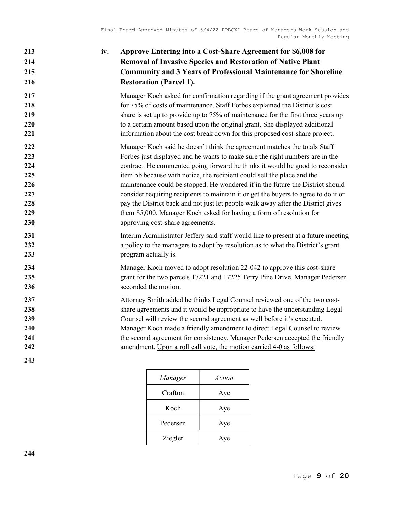# 213 iv. Approve Entering into a Cost-Share Agreement for \$6,008 for 214 Removal of Invasive Species and Restoration of Native Plant 215 Community and 3 Years of Professional Maintenance for Shoreline 216 Restoration (Parcel 1). 217 Manager Koch asked for confirmation regarding if the grant agreement provides 218 for 75% of costs of maintenance. Staff Forbes explained the District's cost 219 share is set up to provide up to 75% of maintenance for the first three years up 220 to a certain amount based upon the original grant. She displayed additional 221 information about the cost break down for this proposed cost-share project. 222 Manager Koch said he doesn't think the agreement matches the totals Staff 223 Forbes just displayed and he wants to make sure the right numbers are in the 224 contract. He commented going forward he thinks it would be good to reconsider 225 **item 5b because with notice**, the recipient could sell the place and the 226 maintenance could be stopped. He wondered if in the future the District should 227 consider requiring recipients to maintain it or get the buyers to agree to do it or 228 **pay the District back and not just let people walk away after the District gives** 229 them \$5,000. Manager Koch asked for having a form of resolution for 230 approving cost-share agreements. 231 Interim Administrator Jeffery said staff would like to present at a future meeting 232 232 a policy to the managers to adopt by resolution as to what the District's grant 233 program actually is. 234 Manager Koch moved to adopt resolution 22-042 to approve this cost-share 235 grant for the two parcels 17221 and 17225 Terry Pine Drive. Manager Pedersen 236 seconded the motion. 237 Attorney Smith added he thinks Legal Counsel reviewed one of the two cost-238 **Share agreements and it would be appropriate to have the understanding Legal** 239 Counsel will review the second agreement as well before it's executed. 240 Manager Koch made a friendly amendment to direct Legal Counsel to review 241 the second agreement for consistency. Manager Pedersen accepted the friendly 242 **amendment.** Upon a roll call vote, the motion carried 4-0 as follows: 243

| Manager  | Action |
|----------|--------|
| Crafton  | Aye    |
| Koch     | Aye    |
| Pedersen | Aye    |
| Ziegler  | Aye    |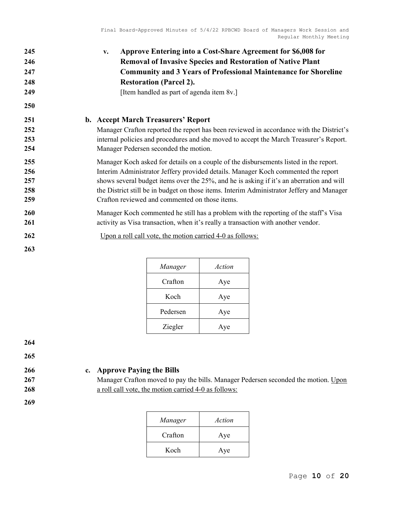| 245 | Approve Entering into a Cost-Share Agreement for \$6,008 for<br>v.                        |
|-----|-------------------------------------------------------------------------------------------|
| 246 | <b>Removal of Invasive Species and Restoration of Native Plant</b>                        |
| 247 | <b>Community and 3 Years of Professional Maintenance for Shoreline</b>                    |
| 248 | <b>Restoration (Parcel 2).</b>                                                            |
| 249 | [Item handled as part of agenda item 8v.]                                                 |
| 250 |                                                                                           |
| 251 | b. Accept March Treasurers' Report                                                        |
| 252 | Manager Crafton reported the report has been reviewed in accordance with the District's   |
| 253 | internal policies and procedures and she moved to accept the March Treasurer's Report.    |
| 254 | Manager Pedersen seconded the motion.                                                     |
| 255 | Manager Koch asked for details on a couple of the disbursements listed in the report.     |
| 256 | Interim Administrator Jeffery provided details. Manager Koch commented the report         |
| 257 | shows several budget items over the 25%, and he is asking if it's an aberration and will  |
| 258 | the District still be in budget on those items. Interim Administrator Jeffery and Manager |
| 259 | Crafton reviewed and commented on those items.                                            |
| 260 | Manager Koch commented he still has a problem with the reporting of the staff's Visa      |
| 261 | activity as Visa transaction, when it's really a transaction with another vendor.         |
| 262 | Upon a roll call vote, the motion carried 4-0 as follows:                                 |
| 263 |                                                                                           |

| Manager  | Action |
|----------|--------|
| Crafton  | Aye    |
| Koch     | Aye    |
| Pedersen | Aye    |
| Ziegler  | Aye    |

265

269

# 266 c. Approve Paying the Bills

267 Manager Crafton moved to pay the bills. Manager Pedersen seconded the motion. Upon 268 **a** roll call vote, the motion carried 4-0 as follows:

| Manager | Action |
|---------|--------|
| Crafton | Aye    |
| Koch    | Aye    |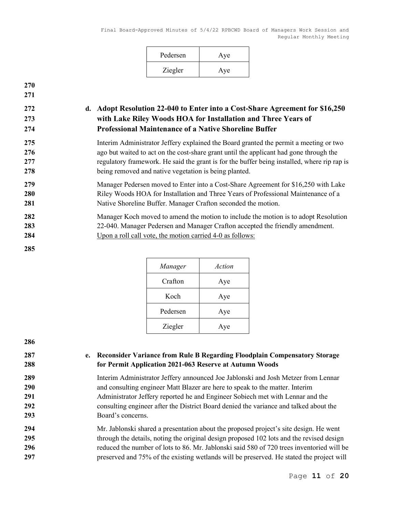| Pedersen | Aye |
|----------|-----|
| Ziegler  | Aye |

# 272 d. Adopt Resolution 22-040 to Enter into a Cost-Share Agreement for \$16,250 273 with Lake Riley Woods HOA for Installation and Three Years of 274 Professional Maintenance of a Native Shoreline Buffer

Interim Administrator Jeffery explained the Board granted the permit a meeting or two ago but waited to act on the cost-share grant until the applicant had gone through the 277 regulatory framework. He said the grant is for the buffer being installed, where rip rap is being removed and native vegetation is being planted.

279 Manager Pedersen moved to Enter into a Cost-Share Agreement for \$16,250 with Lake 280 Riley Woods HOA for Installation and Three Years of Professional Maintenance of a 281 Native Shoreline Buffer. Manager Crafton seconded the motion.

# 282 Manager Koch moved to amend the motion to include the motion is to adopt Resolution 283 22-040. Manager Pedersen and Manager Crafton accepted the friendly amendment.

285

| Manager  | Action |
|----------|--------|
| Crafton  | Aye    |
| Koch     | Aye    |
| Pedersen | Aye    |
| Ziegler  | Aye    |

286

## 287 e. Reconsider Variance from Rule B Regarding Floodplain Compensatory Storage 288 for Permit Application 2021-063 Reserve at Autumn Woods

Interim Administrator Jeffery announced Joe Jablonski and Josh Metzer from Lennar and consulting engineer Matt Blazer are here to speak to the matter. Interim Administrator Jeffery reported he and Engineer Sobiech met with Lennar and the consulting engineer after the District Board denied the variance and talked about the Board's concerns.

# 294 Mr. Jablonski shared a presentation about the proposed project's site design. He went 295 through the details, noting the original design proposed 102 lots and the revised design 296 reduced the number of lots to 86. Mr. Jablonski said 580 of 720 trees inventoried will be 297 preserved and 75% of the existing wetlands will be preserved. He stated the project will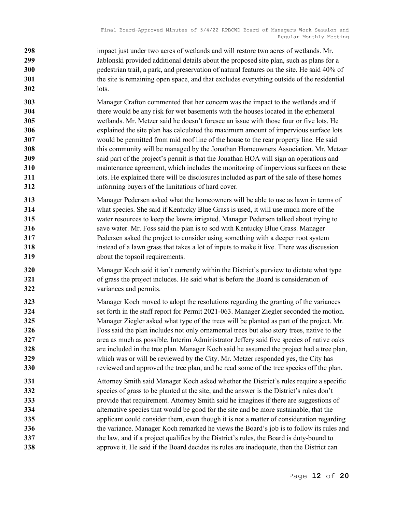- 298 impact just under two acres of wetlands and will restore two acres of wetlands. Mr. 299 Jablonski provided additional details about the proposed site plan, such as plans for a pedestrian trail, a park, and preservation of natural features on the site. He said 40% of 301 the site is remaining open space, and that excludes everything outside of the residential lots.
- Manager Crafton commented that her concern was the impact to the wetlands and if there would be any risk for wet basements with the houses located in the ephemeral wetlands. Mr. Metzer said he doesn't foresee an issue with those four or five lots. He explained the site plan has calculated the maximum amount of impervious surface lots would be permitted from mid roof line of the house to the rear property line. He said this community will be managed by the Jonathan Homeowners Association. Mr. Metzer said part of the project's permit is that the Jonathan HOA will sign an operations and maintenance agreement, which includes the monitoring of impervious surfaces on these 311 lots. He explained there will be disclosures included as part of the sale of these homes informing buyers of the limitations of hard cover.
- Manager Pedersen asked what the homeowners will be able to use as lawn in terms of what species. She said if Kentucky Blue Grass is used, it will use much more of the water resources to keep the lawns irrigated. Manager Pedersen talked about trying to save water. Mr. Foss said the plan is to sod with Kentucky Blue Grass. Manager Pedersen asked the project to consider using something with a deeper root system instead of a lawn grass that takes a lot of inputs to make it live. There was discussion 319 about the topsoil requirements.
- Manager Koch said it isn't currently within the District's purview to dictate what type 321 of grass the project includes. He said what is before the Board is consideration of variances and permits.
- Manager Koch moved to adopt the resolutions regarding the granting of the variances 324 set forth in the staff report for Permit 2021-063. Manager Ziegler seconded the motion. Manager Ziegler asked what type of the trees will be planted as part of the project. Mr. Foss said the plan includes not only ornamental trees but also story trees, native to the area as much as possible. Interim Administrator Jeffery said five species of native oaks are included in the tree plan. Manager Koch said he assumed the project had a tree plan, which was or will be reviewed by the City. Mr. Metzer responded yes, the City has 330 reviewed and approved the tree plan, and he read some of the tree species off the plan.
- Attorney Smith said Manager Koch asked whether the District's rules require a specific species of grass to be planted at the site, and the answer is the District's rules don't provide that requirement. Attorney Smith said he imagines if there are suggestions of alternative species that would be good for the site and be more sustainable, that the 335 applicant could consider them, even though it is not a matter of consideration regarding 336 the variance. Manager Koch remarked he views the Board's job is to follow its rules and 337 the law, and if a project qualifies by the District's rules, the Board is duty-bound to **approve it. He said if the Board decides its rules are inadequate, then the District can**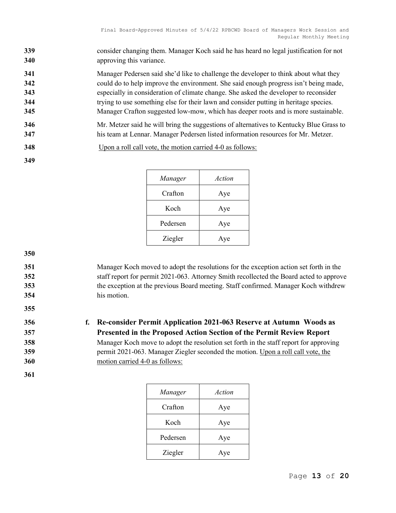339 consider changing them. Manager Koch said he has heard no legal justification for not 340 approving this variance.

341 Manager Pedersen said she'd like to challenge the developer to think about what they 342 could do to help improve the environment. She said enough progress isn't being made, 343 especially in consideration of climate change. She asked the developer to reconsider 344 trying to use something else for their lawn and consider putting in heritage species. 345 Manager Crafton suggested low-mow, which has deeper roots and is more sustainable.

- 346 Mr. Metzer said he will bring the suggestions of alternatives to Kentucky Blue Grass to 347 his team at Lennar. Manager Pedersen listed information resources for Mr. Metzer.
- 348 Upon a roll call vote, the motion carried 4-0 as follows:

| Manager  | Action |
|----------|--------|
| Crafton  | Aye    |
| Koch     | Aye    |
| Pedersen | Aye    |
| Ziegler  | Aye    |

350

355

349

# 351 Manager Koch moved to adopt the resolutions for the exception action set forth in the 352 staff report for permit 2021-063. Attorney Smith recollected the Board acted to approve 353 the exception at the previous Board meeting. Staff confirmed. Manager Koch withdrew 354 his motion.

356 f. Re-consider Permit Application 2021-063 Reserve at Autumn Woods as 357 Presented in the Proposed Action Section of the Permit Review Report 358 Manager Koch move to adopt the resolution set forth in the staff report for approving 359 permit 2021-063. Manager Ziegler seconded the motion. Upon a roll call vote, the 360 motion carried 4-0 as follows:

| Manager  | Action |
|----------|--------|
| Crafton  | Aye    |
| Koch     | Aye    |
| Pedersen | Aye    |
| Ziegler  | Aye    |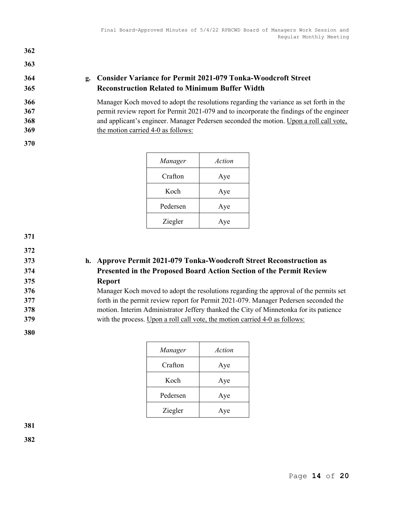# 364 g. Consider Variance for Permit 2021-079 Tonka-Woodcroft Street 365 Reconstruction Related to Minimum Buffer Width

366 Manager Koch moved to adopt the resolutions regarding the variance as set forth in the 367 permit review report for Permit 2021-079 and to incorporate the findings of the engineer 368 and applicant's engineer. Manager Pedersen seconded the motion. Upon a roll call vote, 369 the motion carried 4-0 as follows:

362

363

| Manager  | Action |
|----------|--------|
| Crafton  | Aye    |
| Koch     | Aye    |
| Pedersen | Aye    |
| Ziegler  | Aye    |

371

372

# 373 h. Approve Permit 2021-079 Tonka-Woodcroft Street Reconstruction as 374 Presented in the Proposed Board Action Section of the Permit Review 375 Report

Manager Koch moved to adopt the resolutions regarding the approval of the permits set forth in the permit review report for Permit 2021-079. Manager Pedersen seconded the motion. Interim Administrator Jeffery thanked the City of Minnetonka for its patience 379 with the process. Upon a roll call vote, the motion carried 4-0 as follows:

380

| Manager  | Action |
|----------|--------|
| Crafton  | Aye    |
| Koch     | Aye    |
| Pedersen | Aye    |
| Ziegler  | Aye    |

381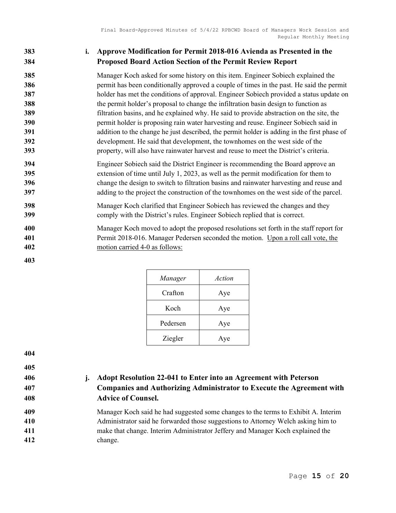# 383 i. Approve Modification for Permit 2018-016 Avienda as Presented in the Proposed Board Action Section of the Permit Review Report

Manager Koch asked for some history on this item. Engineer Sobiech explained the **permitionally approved a couple of times in the past.** He said the permit holder has met the conditions of approval. Engineer Sobiech provided a status update on 388 the permit holder's proposal to change the infiltration basin design to function as filtration basins, and he explained why. He said to provide abstraction on the site, the permit holder is proposing rain water harvesting and reuse. Engineer Sobiech said in addition to the change he just described, the permit holder is adding in the first phase of development. He said that development, the townhomes on the west side of the property, will also have rainwater harvest and reuse to meet the District's criteria.

- Engineer Sobiech said the District Engineer is recommending the Board approve an extension of time until July 1, 2023, as well as the permit modification for them to change the design to switch to filtration basins and rainwater harvesting and reuse and adding to the project the construction of the townhomes on the west side of the parcel.
- Manager Koch clarified that Engineer Sobiech has reviewed the changes and they comply with the District's rules. Engineer Sobiech replied that is correct.
- Manager Koch moved to adopt the proposed resolutions set forth in the staff report for Permit 2018-016. Manager Pedersen seconded the motion. Upon a roll call vote, the motion carried 4-0 as follows:

| Manager  | Action |
|----------|--------|
| Crafton  | Aye    |
| Koch     | Aye    |
| Pedersen | Aye    |
| Ziegler  | Aye    |

406 j. Adopt Resolution 22-041 to Enter into an Agreement with Peterson Companies and Authorizing Administrator to Execute the Agreement with Advice of Counsel.

Manager Koch said he had suggested some changes to the terms to Exhibit A. Interim Administrator said he forwarded those suggestions to Attorney Welch asking him to make that change. Interim Administrator Jeffery and Manager Koch explained the change.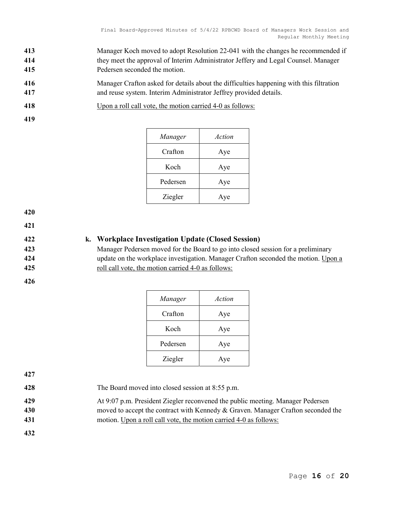- 413 Manager Koch moved to adopt Resolution 22-041 with the changes he recommended if 414 they meet the approval of Interim Administrator Jeffery and Legal Counsel. Manager 415 Pedersen seconded the motion.
- 416 Manager Crafton asked for details about the difficulties happening with this filtration 417 and reuse system. Interim Administrator Jeffrey provided details.
- 418 Upon a roll call vote, the motion carried 4-0 as follows:
- 419

| Manager  | Action |
|----------|--------|
| Crafton  | Aye    |
| Koch     | Aye    |
| Pedersen | Aye    |
| Ziegler  | Aye    |

421

# 422 k. Workplace Investigation Update (Closed Session)

423 Manager Pedersen moved for the Board to go into closed session for a preliminary 424 update on the workplace investigation. Manager Crafton seconded the motion. Upon a 425 roll call vote, the motion carried 4-0 as follows:

426

| Manager  | Action |
|----------|--------|
| Crafton  | Aye    |
| Koch     | Aye    |
| Pedersen | Aye    |
| Ziegler  | Aye    |

427

- 428 The Board moved into closed session at 8:55 p.m.
- 429 At 9:07 p.m. President Ziegler reconvened the public meeting. Manager Pedersen 430 moved to accept the contract with Kennedy & Graven. Manager Crafton seconded the 431 motion. Upon a roll call vote, the motion carried 4-0 as follows: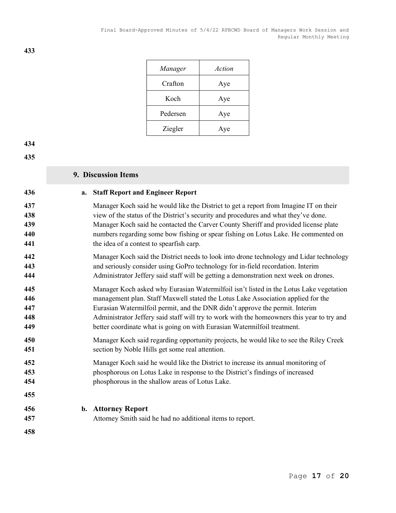| Manager  | Action |
|----------|--------|
| Crafton  | Aye    |
| Koch     | Aye    |
| Pedersen | Aye    |
| Ziegler  | Aye    |

#### 

#### 436 a. Staff Report and Engineer Report

9. Discussion Items

- Manager Koch said he would like the District to get a report from Imagine IT on their 438 view of the status of the District's security and procedures and what they've done. Manager Koch said he contacted the Carver County Sheriff and provided license plate numbers regarding some bow fishing or spear fishing on Lotus Lake. He commented on 441 the idea of a contest to spearfish carp.
- Manager Koch said the District needs to look into drone technology and Lidar technology and seriously consider using GoPro technology for in-field recordation. Interim Administrator Jeffery said staff will be getting a demonstration next week on drones.
- Manager Koch asked why Eurasian Watermilfoil isn't listed in the Lotus Lake vegetation management plan. Staff Maxwell stated the Lotus Lake Association applied for the Eurasian Watermilfoil permit, and the DNR didn't approve the permit. Interim Administrator Jeffery said staff will try to work with the homeowners this year to try and better coordinate what is going on with Eurasian Watermilfoil treatment.
- Manager Koch said regarding opportunity projects, he would like to see the Riley Creek section by Noble Hills get some real attention.
- Manager Koch said he would like the District to increase its annual monitoring of phosphorous on Lotus Lake in response to the District's findings of increased phosphorous in the shallow areas of Lotus Lake.

#### 456 b. Attorney Report

- Attorney Smith said he had no additional items to report.
-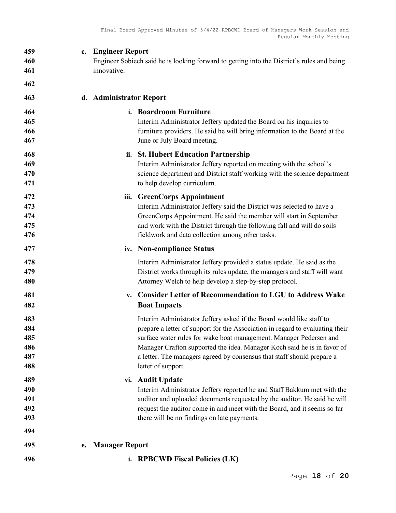| 459                             | <b>Engineer Report</b>                                                                                                                                                                                                                                                                                               |
|---------------------------------|----------------------------------------------------------------------------------------------------------------------------------------------------------------------------------------------------------------------------------------------------------------------------------------------------------------------|
| 460                             | c.                                                                                                                                                                                                                                                                                                                   |
| 461                             | Engineer Sobiech said he is looking forward to getting into the District's rules and being                                                                                                                                                                                                                           |
| 462                             | innovative.                                                                                                                                                                                                                                                                                                          |
| 463                             | d. Administrator Report                                                                                                                                                                                                                                                                                              |
| 464                             | i. Boardroom Furniture                                                                                                                                                                                                                                                                                               |
| 465                             | Interim Administrator Jeffery updated the Board on his inquiries to                                                                                                                                                                                                                                                  |
| 466                             | furniture providers. He said he will bring information to the Board at the                                                                                                                                                                                                                                           |
| 467                             | June or July Board meeting.                                                                                                                                                                                                                                                                                          |
| 468                             | ii. St. Hubert Education Partnership                                                                                                                                                                                                                                                                                 |
| 469                             | Interim Administrator Jeffery reported on meeting with the school's                                                                                                                                                                                                                                                  |
| 470                             | science department and District staff working with the science department                                                                                                                                                                                                                                            |
| 471                             | to help develop curriculum.                                                                                                                                                                                                                                                                                          |
| 472<br>473<br>474<br>475<br>476 | <b>GreenCorps Appointment</b><br>iii.<br>Interim Administrator Jeffery said the District was selected to have a<br>GreenCorps Appointment. He said the member will start in September<br>and work with the District through the following fall and will do soils<br>fieldwork and data collection among other tasks. |
| 477                             | iv. Non-compliance Status                                                                                                                                                                                                                                                                                            |
| 478                             | Interim Administrator Jeffery provided a status update. He said as the                                                                                                                                                                                                                                               |
| 479                             | District works through its rules update, the managers and staff will want                                                                                                                                                                                                                                            |
| 480                             | Attorney Welch to help develop a step-by-step protocol.                                                                                                                                                                                                                                                              |
| 481<br>482                      | <b>Consider Letter of Recommendation to LGU to Address Wake</b><br>v.<br><b>Boat Impacts</b>                                                                                                                                                                                                                         |
| 483                             | Interim Administrator Jeffery asked if the Board would like staff to                                                                                                                                                                                                                                                 |
| 484                             | prepare a letter of support for the Association in regard to evaluating their                                                                                                                                                                                                                                        |
| 485                             | surface water rules for wake boat management. Manager Pedersen and                                                                                                                                                                                                                                                   |
| 486                             | Manager Crafton supported the idea. Manager Koch said he is in favor of                                                                                                                                                                                                                                              |
| 487                             | a letter. The managers agreed by consensus that staff should prepare a                                                                                                                                                                                                                                               |
| 488                             | letter of support.                                                                                                                                                                                                                                                                                                   |
| 489                             | vi. Audit Update                                                                                                                                                                                                                                                                                                     |
| 490                             | Interim Administrator Jeffery reported he and Staff Bakkum met with the                                                                                                                                                                                                                                              |
| 491                             | auditor and uploaded documents requested by the auditor. He said he will                                                                                                                                                                                                                                             |
| 492                             | request the auditor come in and meet with the Board, and it seems so far                                                                                                                                                                                                                                             |
| 493                             | there will be no findings on late payments.                                                                                                                                                                                                                                                                          |
| 494                             |                                                                                                                                                                                                                                                                                                                      |
| 495<br>496                      | <b>Manager Report</b><br>е.<br>i. RPBCWD Fiscal Policies (LK)                                                                                                                                                                                                                                                        |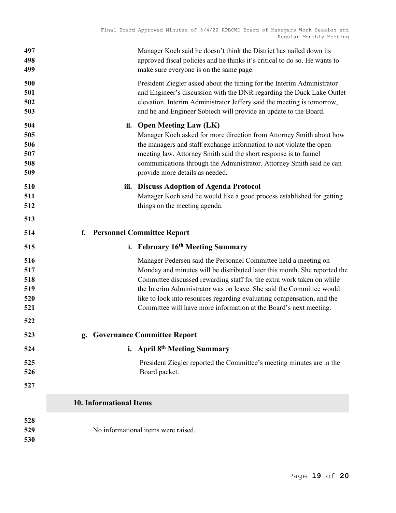| 497<br>498<br>499                      | Manager Koch said he doesn't think the District has nailed down its<br>approved fiscal policies and he thinks it's critical to do so. He wants to<br>make sure everyone is on the same page.                                                                                                                                                                                                                                                 |  |  |
|----------------------------------------|----------------------------------------------------------------------------------------------------------------------------------------------------------------------------------------------------------------------------------------------------------------------------------------------------------------------------------------------------------------------------------------------------------------------------------------------|--|--|
| 500<br>501<br>502<br>503               | President Ziegler asked about the timing for the Interim Administrator<br>and Engineer's discussion with the DNR regarding the Duck Lake Outlet<br>elevation. Interim Administrator Jeffery said the meeting is tomorrow,<br>and he and Engineer Sobiech will provide an update to the Board.                                                                                                                                                |  |  |
| 504<br>505<br>506<br>507<br>508<br>509 | ii. Open Meeting Law (LK)<br>Manager Koch asked for more direction from Attorney Smith about how<br>the managers and staff exchange information to not violate the open<br>meeting law. Attorney Smith said the short response is to funnel<br>communications through the Administrator. Attorney Smith said he can<br>provide more details as needed.                                                                                       |  |  |
| 510<br>511<br>512<br>513               | iii. Discuss Adoption of Agenda Protocol<br>Manager Koch said he would like a good process established for getting<br>things on the meeting agenda.                                                                                                                                                                                                                                                                                          |  |  |
| 514                                    | <b>Personnel Committee Report</b><br>f.                                                                                                                                                                                                                                                                                                                                                                                                      |  |  |
| 515                                    | i. February 16 <sup>th</sup> Meeting Summary                                                                                                                                                                                                                                                                                                                                                                                                 |  |  |
| 516<br>517<br>518<br>519<br>520<br>521 | Manager Pedersen said the Personnel Committee held a meeting on<br>Monday and minutes will be distributed later this month. She reported the<br>Committee discussed rewarding staff for the extra work taken on while<br>the Interim Administrator was on leave. She said the Committee would<br>like to look into resources regarding evaluating compensation, and the<br>Committee will have more information at the Board's next meeting. |  |  |
| 522                                    |                                                                                                                                                                                                                                                                                                                                                                                                                                              |  |  |
| 523                                    | <b>Governance Committee Report</b><br>g.                                                                                                                                                                                                                                                                                                                                                                                                     |  |  |
| 524                                    | i. April 8 <sup>th</sup> Meeting Summary                                                                                                                                                                                                                                                                                                                                                                                                     |  |  |
| 525<br>526<br>527                      | President Ziegler reported the Committee's meeting minutes are in the<br>Board packet.                                                                                                                                                                                                                                                                                                                                                       |  |  |
|                                        | <b>10. Informational Items</b>                                                                                                                                                                                                                                                                                                                                                                                                               |  |  |
| 528<br>529<br>530                      | No informational items were raised.                                                                                                                                                                                                                                                                                                                                                                                                          |  |  |